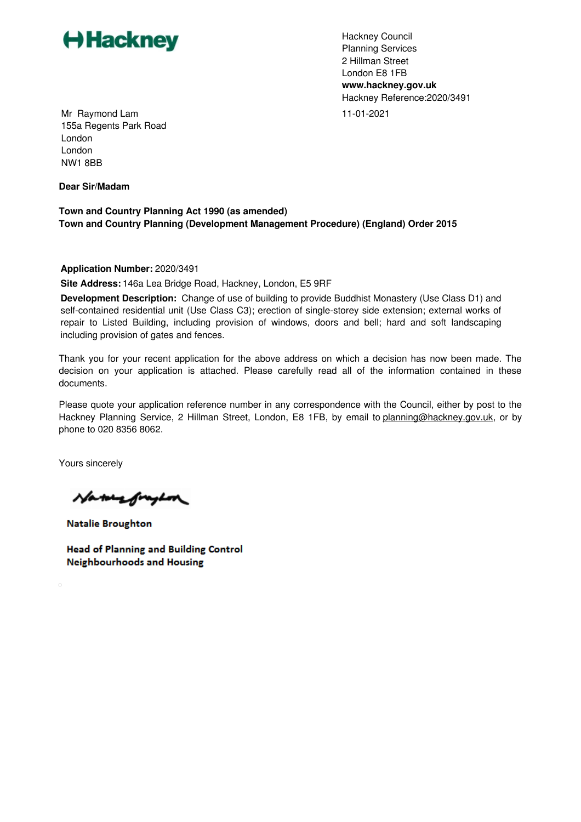

Hackney Council Planning Services 2 Hillman Street London E8 1FB **www.hackney.gov.uk** Hackney Reference:2020/3491 11-01-2021

Mr Raymond Lam 155a Regents Park Road London London NW1 8BB

**Dear Sir/Madam**

**Town and Country Planning Act 1990 (as amended) Town and Country Planning (Development Management Procedure) (England) Order 2015**

**Application Number:** 2020/3491

**Site Address:** 146a Lea Bridge Road, Hackney, London, E5 9RF

**Development Description:** Change of use of building to provide Buddhist Monastery (Use Class D1) and self-contained residential unit (Use Class C3); erection of single-storey side extension; external works of repair to Listed Building, including provision of windows, doors and bell; hard and soft landscaping including provision of gates and fences.

Thank you for your recent application for the above address on which a decision has now been made. The decision on your application is attached. Please carefully read all of the information contained in these documents.

Please quote your application reference number in any correspondence with the Council, either by post to the Hackney Planning Service, 2 Hillman Street, London, E8 1FB, by email to [planning@hackney.gov.uk](mailto:planning@hackney.gov.uk), or by phone to 020 8356 8062.

Yours sincerely

 $\Box$ 

Nature fraghon

**Natalie Broughton** 

**Head of Planning and Building Control Neighbourhoods and Housing**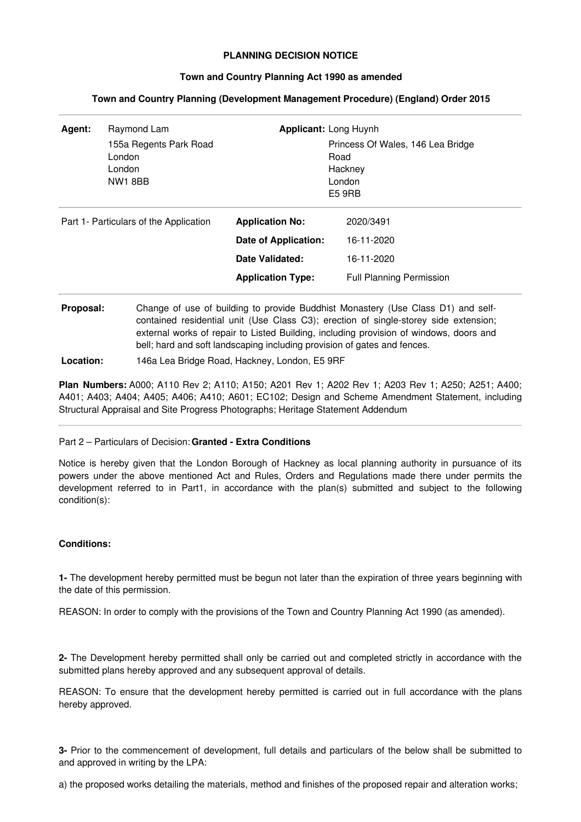# **PLANNING DECISION NOTICE**

### **Town and Country Planning Act 1990 as amended**

| Agent:                                 | Raymond Lam<br>155a Regents Park Road<br>London<br>London<br><b>NW1 8BB</b> | <b>Applicant: Long Huynh</b>                                                                  | Princess Of Wales, 146 Lea Bridge<br>Road<br>Hackney<br>London<br>E5 9RB |
|----------------------------------------|-----------------------------------------------------------------------------|-----------------------------------------------------------------------------------------------|--------------------------------------------------------------------------|
| Part 1- Particulars of the Application |                                                                             | <b>Application No:</b><br>Date of Application:<br>Date Validated:<br><b>Application Type:</b> | 2020/3491<br>16-11-2020<br>16-11-2020<br><b>Full Planning Permission</b> |

## **Town and Country Planning (Development Management Procedure) (England) Order 2015**

**Proposal:** Change of use of building to provide Buddhist Monastery (Use Class D1) and selfcontained residential unit (Use Class C3); erection of single-storey side extension; external works of repair to Listed Building, including provision of windows, doors and bell; hard and soft landscaping including provision of gates and fences.

**Location:** 146a Lea Bridge Road, Hackney, London, E5 9RF

**Plan Numbers:** A000; A110 Rev 2; A110; A150; A201 Rev 1; A202 Rev 1; A203 Rev 1; A250; A251; A400; A401; A403; A404; A405; A406; A410; A601; EC102; Design and Scheme Amendment Statement, including Structural Appraisal and Site Progress Photographs; Heritage Statement Addendum

### Part 2 – Particulars of Decision: **Granted - Extra Conditions**

Notice is hereby given that the London Borough of Hackney as local planning authority in pursuance of its powers under the above mentioned Act and Rules, Orders and Regulations made there under permits the development referred to in Part1, in accordance with the plan(s) submitted and subject to the following condition(s):

# **Conditions:**

**1-** The development hereby permitted must be begun not later than the expiration of three years beginning with the date of this permission.

REASON: In order to comply with the provisions of the Town and Country Planning Act 1990 (as amended).

**2-** The Development hereby permitted shall only be carried out and completed strictly in accordance with the submitted plans hereby approved and any subsequent approval of details.

REASON: To ensure that the development hereby permitted is carried out in full accordance with the plans hereby approved.

**3-** Prior to the commencement of development, full details and particulars of the below shall be submitted to and approved in writing by the LPA:

a) the proposed works detailing the materials, method and finishes of the proposed repair and alteration works;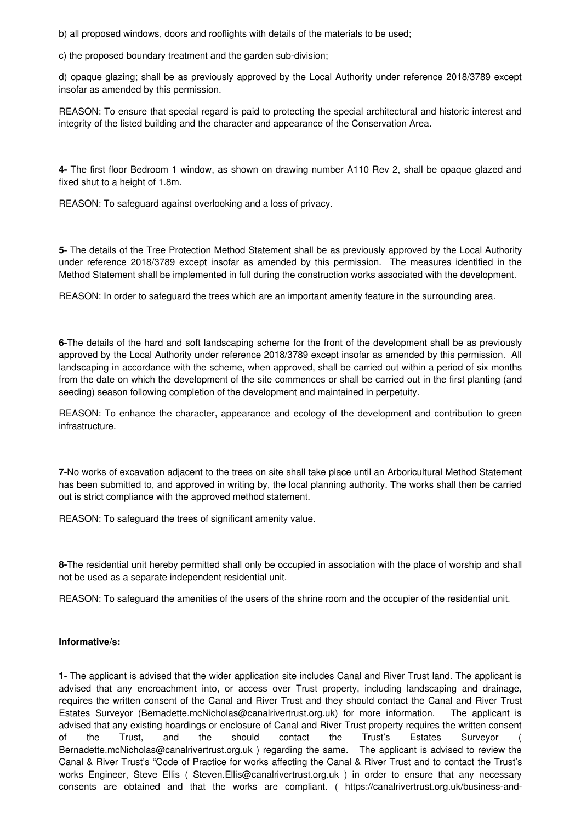b) all proposed windows, doors and rooflights with details of the materials to be used;

c) the proposed boundary treatment and the garden sub-division;

d) opaque glazing; shall be as previously approved by the Local Authority under reference 2018/3789 except insofar as amended by this permission.

REASON: To ensure that special regard is paid to protecting the special architectural and historic interest and integrity of the listed building and the character and appearance of the Conservation Area.

**4-** The first floor Bedroom 1 window, as shown on drawing number A110 Rev 2, shall be opaque glazed and fixed shut to a height of 1.8m.

REASON: To safeguard against overlooking and a loss of privacy.

**5-** The details of the Tree Protection Method Statement shall be as previously approved by the Local Authority under reference 2018/3789 except insofar as amended by this permission. The measures identified in the Method Statement shall be implemented in full during the construction works associated with the development.

REASON: In order to safeguard the trees which are an important amenity feature in the surrounding area.

**6-**The details of the hard and soft landscaping scheme for the front of the development shall be as previously approved by the Local Authority under reference 2018/3789 except insofar as amended by this permission. All landscaping in accordance with the scheme, when approved, shall be carried out within a period of six months from the date on which the development of the site commences or shall be carried out in the first planting (and seeding) season following completion of the development and maintained in perpetuity.

REASON: To enhance the character, appearance and ecology of the development and contribution to green infrastructure.

**7-**No works of excavation adjacent to the trees on site shall take place until an Arboricultural Method Statement has been submitted to, and approved in writing by, the local planning authority. The works shall then be carried out is strict compliance with the approved method statement.

REASON: To safeguard the trees of significant amenity value.

**8-**The residential unit hereby permitted shall only be occupied in association with the place of worship and shall not be used as a separate independent residential unit.

REASON: To safeguard the amenities of the users of the shrine room and the occupier of the residential unit.

### **Informative/s:**

**1-** The applicant is advised that the wider application site includes Canal and River Trust land. The applicant is advised that any encroachment into, or access over Trust property, including landscaping and drainage, requires the written consent of the Canal and River Trust and they should contact the Canal and River Trust Estates Surveyor (Bernadette.mcNicholas@canalrivertrust.org.uk) for more information. The applicant is advised that any existing hoardings or enclosure of Canal and River Trust property requires the written consent of the Trust, and the should contact the Trust's Estates Surveyor ( Bernadette.mcNicholas@canalrivertrust.org.uk ) regarding the same. The applicant is advised to review the Canal & River Trust's "Code of Practice for works affecting the Canal & River Trust and to contact the Trust's works Engineer, Steve Ellis (Steven.Ellis@canalrivertrust.org.uk) in order to ensure that any necessary consents are obtained and that the works are compliant. ( https://canalrivertrust.org.uk/business-and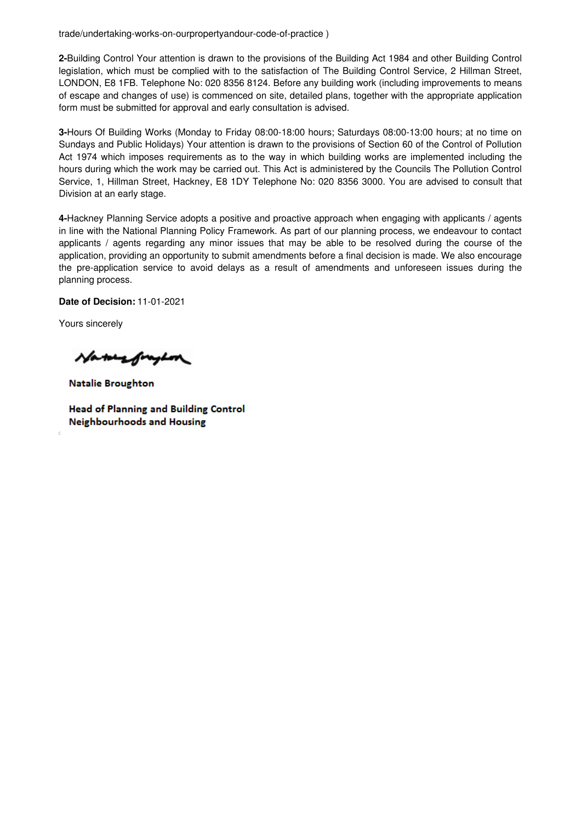trade/undertaking-works-on-ourpropertyandour-code-of-practice )

**2-**Building Control Your attention is drawn to the provisions of the Building Act 1984 and other Building Control legislation, which must be complied with to the satisfaction of The Building Control Service, 2 Hillman Street, LONDON, E8 1FB. Telephone No: 020 8356 8124. Before any building work (including improvements to means of escape and changes of use) is commenced on site, detailed plans, together with the appropriate application form must be submitted for approval and early consultation is advised.

**3-**Hours Of Building Works (Monday to Friday 08:00-18:00 hours; Saturdays 08:00-13:00 hours; at no time on Sundays and Public Holidays) Your attention is drawn to the provisions of Section 60 of the Control of Pollution Act 1974 which imposes requirements as to the way in which building works are implemented including the hours during which the work may be carried out. This Act is administered by the Councils The Pollution Control Service, 1, Hillman Street, Hackney, E8 1DY Telephone No: 020 8356 3000. You are advised to consult that Division at an early stage.

**4-**Hackney Planning Service adopts a positive and proactive approach when engaging with applicants / agents in line with the National Planning Policy Framework. As part of our planning process, we endeavour to contact applicants / agents regarding any minor issues that may be able to be resolved during the course of the application, providing an opportunity to submit amendments before a final decision is made. We also encourage the pre-application service to avoid delays as a result of amendments and unforeseen issues during the planning process.

**Date of Decision:** 11-01-2021

Yours sincerely

Naturefraghon

**Natalie Broughton** 

**Head of Planning and Building Control Neighbourhoods and Housing**